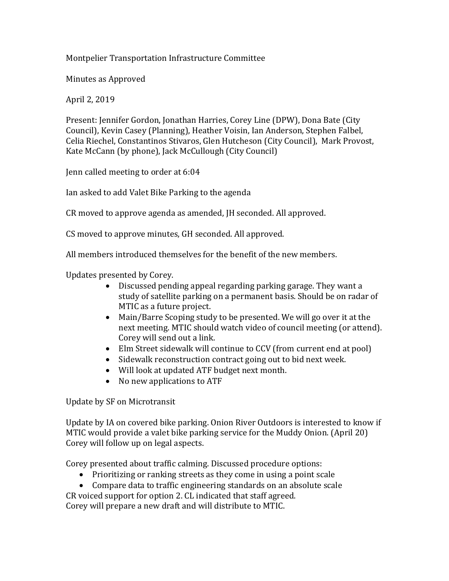## Montpelier Transportation Infrastructure Committee

Minutes as Approved

April 2, 2019

Present: Jennifer Gordon, Jonathan Harries, Corey Line (DPW), Dona Bate (City Council), Kevin Casey (Planning), Heather Voisin, Ian Anderson, Stephen Falbel, Celia Riechel, Constantinos Stivaros, Glen Hutcheson (City Council), Mark Provost, Kate McCann (by phone), Jack McCullough (City Council)

Jenn called meeting to order at 6:04

Ian asked to add Valet Bike Parking to the agenda

CR moved to approve agenda as amended, JH seconded. All approved.

CS moved to approve minutes, GH seconded. All approved.

All members introduced themselves for the benefit of the new members.

Updates presented by Corey.

- Discussed pending appeal regarding parking garage. They want a study of satellite parking on a permanent basis. Should be on radar of MTIC as a future project.
- Main/Barre Scoping study to be presented. We will go over it at the next meeting. MTIC should watch video of council meeting (or attend). Corey will send out a link.
- Elm Street sidewalk will continue to CCV (from current end at pool)
- Sidewalk reconstruction contract going out to bid next week.
- Will look at updated ATF budget next month.
- No new applications to ATF

Update by SF on Microtransit

Update by IA on covered bike parking. Onion River Outdoors is interested to know if MTIC would provide a valet bike parking service for the Muddy Onion. (April 20) Corey will follow up on legal aspects.

Corey presented about traffic calming. Discussed procedure options:

- Prioritizing or ranking streets as they come in using a point scale
- Compare data to traffic engineering standards on an absolute scale

CR voiced support for option 2. CL indicated that staff agreed. Corey will prepare a new draft and will distribute to MTIC.